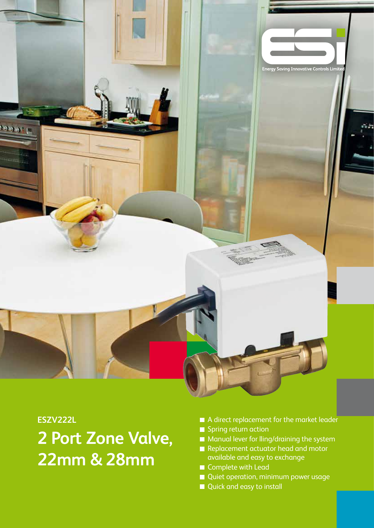

#### **ESZV222L**

# **2 Port Zone Valve, 22mm & 28mm**

- A direct replacement for the market leader
- Spring return action
- **Manual lever for lling/draining the system**
- Replacement actuator head and motor available and easy to exchange
- Complete with Lead
- Quiet operation, minimum power usage
- Quick and easy to install